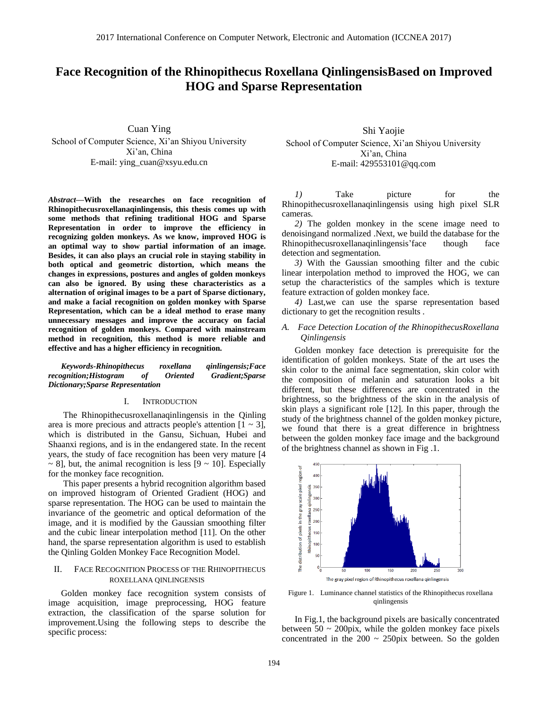# **Face Recognition of the Rhinopithecus Roxellana QinlingensisBased on Improved HOG and Sparse Representation**

Cuan Ying School of Computer Science, Xi'an Shiyou University Xi'an, China E-mail: ying\_cuan@xsyu.edu.cn

*Abstract—***With the researches on face recognition of Rhinopithecusroxellanaqinlingensis, this thesis comes up with some methods that refining traditional HOG and Sparse Representation in order to improve the efficiency in recognizing golden monkeys. As we know, improved HOG is an optimal way to show partial information of an image. Besides, it can also plays an crucial role in staying stability in both optical and geometric distortion, which means the changes in expressions, postures and angles of golden monkeys can also be ignored. By using these characteristics as a alternation of original images to be a part of Sparse dictionary, and make a facial recognition on golden monkey with Sparse Representation, which can be a ideal method to erase many unnecessary messages and improve the accuracy on facial recognition of golden monkeys. Compared with mainstream method in recognition, this method is more reliable and effective and has a higher efficiency in recognition.**

*Keywords-Rhinopithecus roxellana qinlingensis;Face recognition;Histogram of Dictionary;Sparse Representation*

## I. INTRODUCTION

The Rhinopithecusroxellanaqinlingensis in the Qinling area is more precious and attracts people's attention  $[1 \sim 3]$ , which is distributed in the Gansu, Sichuan, Hubei and Shaanxi regions, and is in the endangered state. In the recent years, the study of face recognition has been very mature [4  $\sim$  8], but, the animal recognition is less [9  $\sim$  10]. Especially for the monkey face recognition.

This paper presents a hybrid recognition algorithm based on improved histogram of Oriented Gradient (HOG) and sparse representation. The HOG can be used to maintain the invariance of the geometric and optical deformation of the image, and it is modified by the Gaussian smoothing filter and the cubic linear interpolation method [11]. On the other hand, the sparse representation algorithm is used to establish the Qinling Golden Monkey Face Recognition Model.

## II. FACE RECOGNITION PROCESS OF THE RHINOPITHECUS ROXELLANA QINLINGENSIS

Golden monkey face recognition system consists of image acquisition, image preprocessing, HOG feature extraction, the classification of the sparse solution for improvement.Using the following steps to describe the specific process:

Shi Yaojie School of Computer Science, Xi'an Shiyou University Xi'an, China E-mail: 429553101@qq.com

*1*) Take picture for the Rhinopithecusroxellanaqinlingensis using high pixel SLR cameras.

*2)* The golden monkey in the scene image need to denoisingand normalized .Next, we build the database for the Rhinopithecusroxellanaqinlingensis'face though face detection and segmentation.

*3)* With the Gaussian smoothing filter and the cubic linear interpolation method to improved the HOG, we can setup the characteristics of the samples which is texture feature extraction of golden monkey face.

*4)* Last,we can use the sparse representation based dictionary to get the recognition results .

## *A. Face Detection Location of the RhinopithecusRoxellana Qinlingensis*

Golden monkey face detection is prerequisite for the identification of golden monkeys. State of the art uses the skin color to the animal face segmentation, skin color with the composition of melanin and saturation looks a bit different, but these differences are concentrated in the brightness, so the brightness of the skin in the analysis of skin plays a significant role [12]. In this paper, through the study of the brightness channel of the golden monkey picture, we found that there is a great difference in brightness between the golden monkey face image and the background of the brightness channel as shown in Fig .1.



Figure 1. Luminance channel statistics of the Rhinopithecus roxellana qinlingensis

In Fig.1, the background pixels are basically concentrated between  $50 \sim 200$ pix, while the golden monkey face pixels concentrated in the  $200 \sim 250$  pix between. So the golden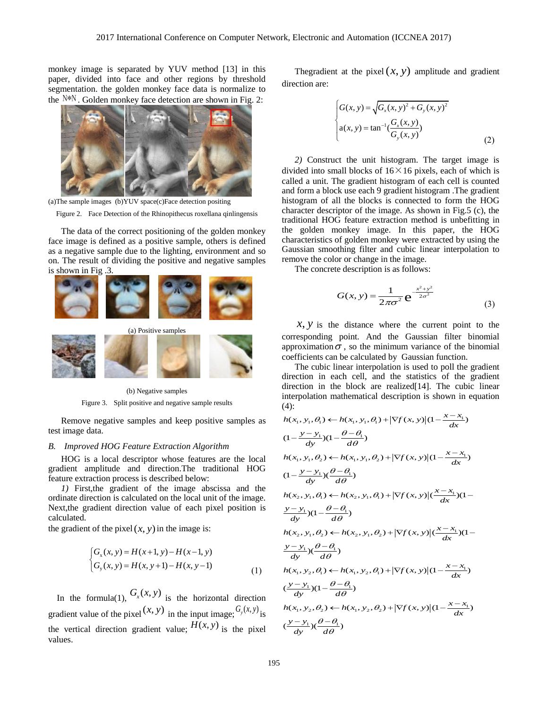monkey image is separated by YUV method [13] in this paper, divided into face and other regions by threshold segmentation. the golden monkey face data is normalize to the N<sup>\*N</sup>. Golden monkey face detection are shown in Fig. 2:



(a)The sample images (b)YUV space(c)Face detection positing

Figure 2. Face Detection of the Rhinopithecus roxellana qinlingensis

The data of the correct positioning of the golden monkey face image is defined as a positive sample, others is defined as a negative sample due to the lighting, environment and so on. The result of dividing the positive and negative samples is shown in Fig .3.



(b) Negative samples

Figure 3. Split positive and negative sample results

Remove negative samples and keep positive samples as test image data.

#### *B. Improved HOG Feature Extraction Algorithm*

HOG is a local descriptor whose features are the local gradient amplitude and direction.The traditional HOG feature extraction process is described below:

*1)* First,the gradient of the image abscissa and the ordinate direction is calculated on the local unit of the image. Next,the gradient direction value of each pixel position is calculated.

the gradient of the pixel  $(x, y)$  in the image is:

$$
\begin{cases} G_x(x, y) = H(x+1, y) - H(x-1, y) \\ G_y(x, y) = H(x, y+1) - H(x, y-1) \end{cases}
$$
\n(1)

In the formula(1),  $G_x(x, y)$  is the horizontal direction gradient value of the pixel  $(x, y)$  in the input image;  $G_y(x, y)$  is the vertical direction gradient value;  $H(x, y)$  is the pixel values.

The gradient at the pixel  $(x, y)$  amplitude and gradient direction are:

$$
\begin{cases}\nG(x, y) = \sqrt{G_x(x, y)^2 + G_y(x, y)^2} \\
a(x, y) = \tan^{-1}(\frac{G_x(x, y)}{G_y(x, y)})\n\end{cases}
$$
\n(2)

*2)* Construct the unit histogram. The target image is divided into small blocks of  $16 \times 16$  pixels, each of which is called a unit. The gradient histogram of each cell is counted and form a block use each 9 gradient histogram .The gradient histogram of all the blocks is connected to form the HOG character descriptor of the image. As shown in Fig.5 (c), the traditional HOG feature extraction method is unbefitting in the golden monkey image. In this paper, the HOG characteristics of golden monkey were extracted by using the Gaussian smoothing filter and cubic linear interpolation to remove the color or change in the image.

The concrete description is as follows:

$$
G(x, y) = \frac{1}{2\pi\sigma^2} e^{-\frac{x^2 + y^2}{2\sigma^2}}
$$
 (3)

 $x, y$  is the distance where the current point to the corresponding point. And the Gaussian filter binomial approximation  $\sigma$ , so the minimum variance of the binomial coefficients can be calculated by Gaussian function.

The cubic linear interpolation is used to poll the gradient direction in each cell, and the statistics of the gradient direction in the block are realized[14]. The cubic linear interpolation mathematical description is shown in equation (4):<br>  $h(x_1, y_1, \theta_1) \leftarrow h(x_1, y_1, \theta_1) + |\nabla f(x, y)| (1 - \frac{x - x_1}{dx})$ (4):

$$
h(x_1, y_1, \theta_1) \leftarrow h(x_1, y_1, \theta_1) + |\nabla f(x, y)| (1 - \frac{x - x_1}{dx})
$$
  
\n
$$
(1 - \frac{y - y_1}{dy})(1 - \frac{\theta - \theta_1}{d\theta})
$$
  
\n
$$
h(x_1, y_1, \theta_2) \leftarrow h(x_1, y_1, \theta_2) + |\nabla f(x, y)| (1 - \frac{x - x_1}{dx})
$$
  
\n
$$
(1 - \frac{y - y_1}{dy})(\frac{\theta - \theta_1}{d\theta})
$$
  
\n
$$
h(x_2, y_1, \theta_1) \leftarrow h(x_2, y_1, \theta_1) + |\nabla f(x, y)| (\frac{x - x_1}{dx})(1 - \frac{y - y_1}{dy})(1 - \frac{\theta - \theta_1}{d\theta})
$$
  
\n
$$
h(x_2, y_1, \theta_2) \leftarrow h(x_2, y_1, \theta_2) + |\nabla f(x, y)| (\frac{x - x_1}{dx})(1 - \frac{y - y_1}{dy})(\frac{\theta - \theta_1}{d\theta})
$$
  
\n
$$
h(x_1, y_2, \theta_1) \leftarrow h(x_1, y_2, \theta_1) + |\nabla f(x, y)| (1 - \frac{x - x_1}{dx})
$$
  
\n
$$
(\frac{y - y_1}{dy})(1 - \frac{\theta - \theta_1}{d\theta})
$$
  
\n
$$
h(x_1, y_2, \theta_2) \leftarrow h(x_1, y_2, \theta_2) + |\nabla f(x, y)| (1 - \frac{x - x_1}{dx})
$$
  
\n
$$
(\frac{y - y_1}{dy})(\frac{\theta - \theta_1}{d\theta})
$$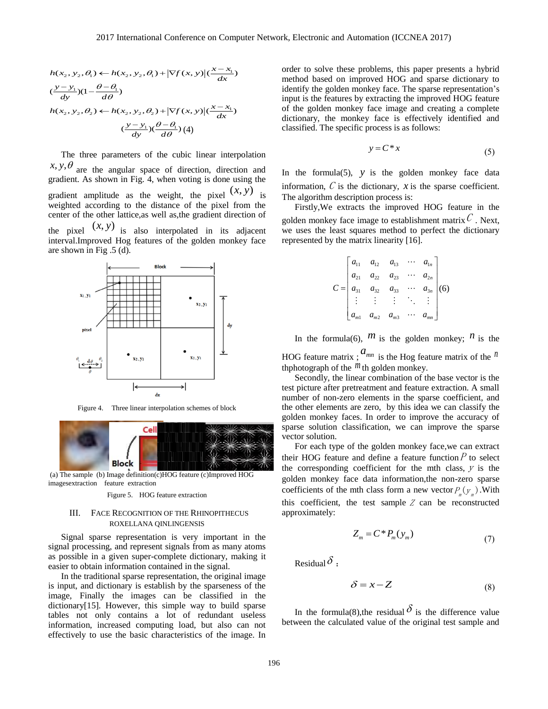$$
h(x_2, y_2, \theta_1) \leftarrow h(x_2, y_2, \theta_1) + |\nabla f(x, y)|(\frac{x - x_1}{dx})
$$
  

$$
(\frac{y - y_1}{dy})(1 - \frac{\theta - \theta_1}{d\theta})
$$
  

$$
h(x_2, y_2, \theta_2) \leftarrow h(x_2, y_2, \theta_2) + |\nabla f(x, y)|(\frac{x - x_1}{dx})
$$
  

$$
(\frac{y - y_1}{dy})(\frac{\theta - \theta_1}{d\theta})(4)
$$

( $\frac{1}{1}$ )<br>
erpolation<br>
ction and<br>  $\frac{1}{1}$ )<br>
( $(x, y)$ ) is from the<br>
irection of<br>
adjacent<br>
mkey face<br>
expression<br>
where the any atoms<br>
making it<br>
expressed to the<br>
ded HOG<br>
ECUS<br>
where the same of the<br>
ded HOG<br>
HOG<br>
the The three parameters of the cubic linear interpolation  $x, y, \theta$  are the angular space of direction, direction and gradient. As shown in Fig. 4, when voting is done using the gradient amplitude as the weight, the pixel  $(x, y)$  is weighted according to the distance of the pixel from the center of the other lattice,as well as,the gradient direction of the pixel  $(x, y)$  is also interpolated in its adjacent interval.Improved Hog features of the golden monkey face are shown in Fig .5 (d).



Figure 4. Three linear interpolation schemes of block



(a) The sample (b) Image definition(c)HOG feature (c)Improved HOG imagesextraction feature extraction

#### Figure 5. HOG feature extraction

## III. FACE RECOGNITION OF THE RHINOPITHECUS ROXELLANA QINLINGENSIS

Signal sparse representation is very important in the signal processing, and represent signals from as many atoms as possible in a given super-complete dictionary, making it easier to obtain information contained in the signal.

In the traditional sparse representation, the original image is input, and dictionary is establish by the sparseness of the image, Finally the images can be classified in the dictionary[15]. However, this simple way to build sparse tables not only contains a lot of redundant useless information, increased computing load, but also can not effectively to use the basic characteristics of the image. In order to solve these problems, this paper presents a hybrid method based on improved HOG and sparse dictionary to identify the golden monkey face. The sparse representation's input is the features by extracting the improved HOG feature of the golden monkey face image and creating a complete dictionary, the monkey face is effectively identified and classified. The specific process is as follows:

$$
y = C^*x \tag{5}
$$

In the formula(5),  $y$  is the golden monkey face data information,  $C$  is the dictionary,  $x$  is the sparse coefficient. The algorithm description process is:

Firstly,We extracts the improved HOG feature in the golden monkey face image to establishment matrix  $C$ . Next, we uses the least squares method to perfect the dictionary represented by the matrix linearity [16].

$$
C = \begin{bmatrix} a_{11} & a_{12} & a_{13} & \cdots & a_{1n} \\ a_{21} & a_{22} & a_{23} & \cdots & a_{2n} \\ a_{31} & a_{32} & a_{33} & \cdots & a_{3n} \\ \vdots & \vdots & \vdots & \ddots & \vdots \\ a_{m1} & a_{m2} & a_{m3} & \cdots & a_{mn} \end{bmatrix} (6)
$$

In the formula(6),  $m$  is the golden monkey;  $n$  is the

HOG feature matrix;  $a_{mn}$  is the Hog feature matrix of the  $n$ thphotograph of the  $<sup>m</sup>$  th golden monkey.</sup>

Secondly, the linear combination of the base vector is the test picture after pretreatment and feature extraction. A small number of non-zero elements in the sparse coefficient, and the other elements are zero, by this idea we can [classify](file:///C:/Users/LX/AppData/Local/youdao/Dict/Application/6.3.69.8341/resultui/frame/javascript:void(0);) the golden monkey faces. In order to improve the accuracy of sparse solution classification, we can improve the sparse vector solution.

For each type of the golden monkey face,we can extract their HOG feature and define a feature function  $P$  to select the corresponding coefficient for the mth class,  $y$  is the golden monkey face data information,the non-zero sparse coefficients of the mth class form a new vector  $P_{m}(y_{m})$ . With this coefficient, the test sample  $Z$  can be reconstructed approximately:

$$
Z_m = C^* P_m(y_m)
$$
\n<sup>(7)</sup>

[Residual](file:///C:/Users/LX/AppData/Local/youdao/Dict/Application/6.3.69.8341/resultui/frame/javascript:void(0);)  $\delta$  :

$$
\delta = x - Z \tag{8}
$$

In the formula(8), the residual  $\delta$  is the difference value between the calculated value of the original test sample and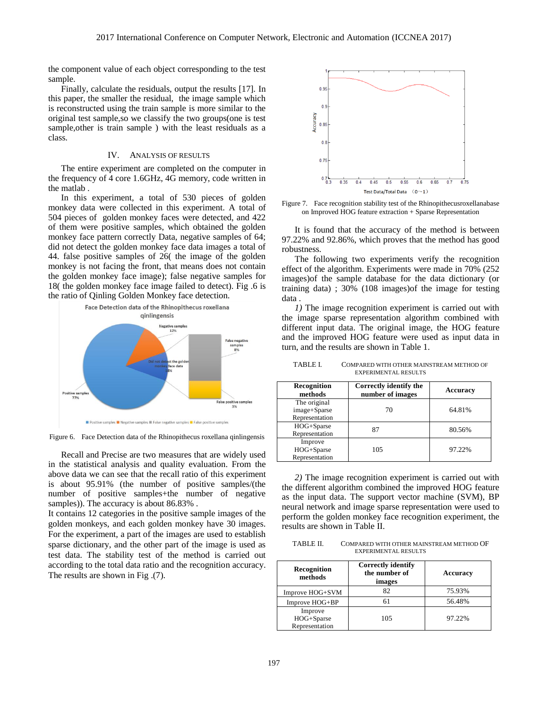the component value of each object corresponding to the test sample.

Finally, calculate the residuals, output the results [17]. In this paper, the smaller the residual, the image sample which is reconstructed using the train sample is more similar to the original test sample,so we classify the two groups(one is test sample, other is train sample ) with the least residuals as a class.

## IV. ANALYSIS OF RESULTS

The entire experiment are completed on the computer in the frequency of 4 core 1.6GHz, 4G memory, code written in the matlab .

In this experiment, a total of 530 pieces of golden monkey data were collected in this experiment. A total of 504 pieces of golden monkey faces were detected, and 422 of them were positive samples, which obtained the golden monkey face pattern correctly Data, negative samples of 64; did not detect the golden monkey face data images a total of 44. false positive samples of 26( the image of the golden monkey is not facing the front, that means does not contain the golden monkey face image); false negative samples for 18( the golden monkey face image failed to detect). Fig .6 is the ratio of Qinling Golden Monkey face detection.



Figure 6. Face Detection data of the Rhinopithecus roxellana qinlingensis

Recall and Precise are two measures that are widely used in the statistical analysis and quality evaluation. From the above data we can see that the recall ratio of this experiment is about 95.91% (the number of positive samples/(the number of positive samples+the number of negative samples)). The accuracy is about 86.83% .

It contains 12 categories in the positive sample images of the golden monkeys, and each golden monkey have 30 images. For the experiment, a part of the images are used to establish sparse dictionary, and the other part of the image is used as test data. The stability test of the method is carried out according to the total data ratio and the recognition accuracy. The results are shown in Fig .(7).



Figure 7. Face recognition stability test of the Rhinopithecusroxellanabase on Improved HOG feature extraction + Sparse Representation

It is found that the accuracy of the method is between 97.22% and 92.86%, which proves that the method has good robustness.

The following two experiments verify the recognition effect of the algorithm. Experiments were made in 70% (252 images)of the sample database for the data dictionary (or training data) ; 30% (108 images)of the image for testing data .

*1)* The image recognition experiment is carried out with the image sparse representation algorithm combined with different input data. The original image, the HOG feature and the improved HOG feature were used as input data in turn, and the results are shown in Table 1.

TABLE I. COMPARED WITH OTHER MAINSTREAM METHOD OF EXPERIMENTAL RESULTS

| Recognition<br>methods                         | Correctly identify the<br>number of images | Accuracy |
|------------------------------------------------|--------------------------------------------|----------|
| The original<br>image+Sparse<br>Representation | 70                                         | 64.81%   |
| HOG+Sparse<br>Representation                   | 87                                         | 80.56%   |
| Improve<br>HOG+Sparse<br>Representation        | 105                                        | 97.22%   |

*2)* The image recognition experiment is carried out with the different algorithm combined the improved HOG feature as the input data. The support vector machine (SVM), BP neural network and image sparse representation were used to perform the golden monkey face recognition experiment, the results are shown in Table II.

TABLE II. COMPARED WITH OTHER MAINSTREAM METHOD OF EXPERIMENTAL RESULTS

| Recognition<br>methods                  | <b>Correctly identify</b><br>the number of<br>images | Accuracy |
|-----------------------------------------|------------------------------------------------------|----------|
| Improve HOG+SVM                         | 82                                                   | 75.93%   |
| Improve HOG+BP                          |                                                      | 56.48%   |
| Improve<br>HOG+Sparse<br>Representation | 105                                                  | 97.22%   |